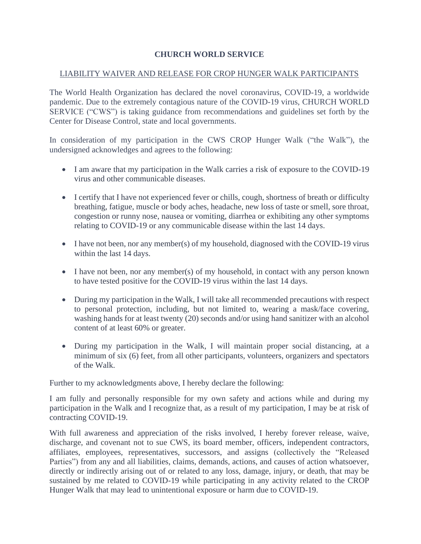## **CHURCH WORLD SERVICE**

## LIABILITY WAIVER AND RELEASE FOR CROP HUNGER WALK PARTICIPANTS

The World Health Organization has declared the novel coronavirus, COVID-19, a worldwide pandemic. Due to the extremely contagious nature of the COVID-19 virus, CHURCH WORLD SERVICE ("CWS") is taking guidance from recommendations and guidelines set forth by the Center for Disease Control, state and local governments.

In consideration of my participation in the CWS CROP Hunger Walk ("the Walk"), the undersigned acknowledges and agrees to the following:

- I am aware that my participation in the Walk carries a risk of exposure to the COVID-19 virus and other communicable diseases.
- I certify that I have not experienced fever or chills, cough, shortness of breath or difficulty breathing, fatigue, muscle or body aches, headache, new loss of taste or smell, sore throat, congestion or runny nose, nausea or vomiting, diarrhea or exhibiting any other symptoms relating to COVID-19 or any communicable disease within the last 14 days.
- I have not been, nor any member(s) of my household, diagnosed with the COVID-19 virus within the last 14 days.
- I have not been, nor any member(s) of my household, in contact with any person known to have tested positive for the COVID-19 virus within the last 14 days.
- During my participation in the Walk, I will take all recommended precautions with respect to personal protection, including, but not limited to, wearing a mask/face covering, washing hands for at least twenty (20) seconds and/or using hand sanitizer with an alcohol content of at least 60% or greater.
- During my participation in the Walk, I will maintain proper social distancing, at a minimum of six (6) feet, from all other participants, volunteers, organizers and spectators of the Walk.

Further to my acknowledgments above, I hereby declare the following:

I am fully and personally responsible for my own safety and actions while and during my participation in the Walk and I recognize that, as a result of my participation, I may be at risk of contracting COVID-19.

With full awareness and appreciation of the risks involved, I hereby forever release, waive, discharge, and covenant not to sue CWS, its board member, officers, independent contractors, affiliates, employees, representatives, successors, and assigns (collectively the "Released Parties") from any and all liabilities, claims, demands, actions, and causes of action whatsoever, directly or indirectly arising out of or related to any loss, damage, injury, or death, that may be sustained by me related to COVID-19 while participating in any activity related to the CROP Hunger Walk that may lead to unintentional exposure or harm due to COVID-19.